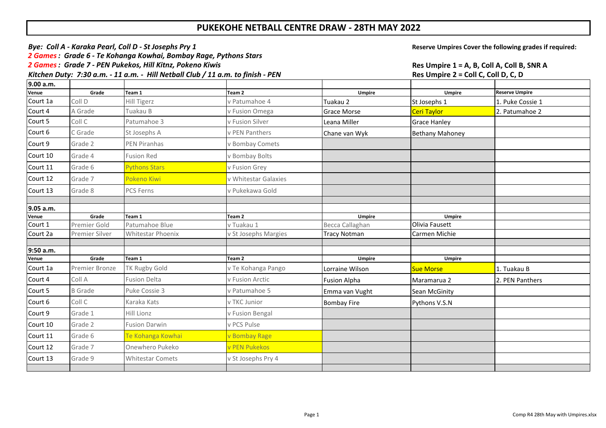## **PUKEKOHE NETBALL CENTRE DRAW - 28TH MAY 2022**

| Bye: Coll A - Karaka Pearl, Coll D - St Josephs Pry 1                           | Reserve Umpires Cover the following grades if required: |
|---------------------------------------------------------------------------------|---------------------------------------------------------|
| 2 Games : Grade 6 - Te Kohanga Kowhai, Bombay Rage, Pythons Stars               |                                                         |
| 2 Games: Grade 7 - PEN Pukekos, Hill Kitnz, Pokeno Kiwis                        | Res Umpire 1 = A, B, Coll A, Coll B, SNR A              |
| Kitchen Duty: 7:30 a.m. - 11 a.m. - Hill Netball Club / 11 a.m. to finish - PEN | Res Umpire $2 =$ Coll C. Coll D. C. D                   |

| 9.00 a.m.          |                |                          |                      |                     |                        |                       |
|--------------------|----------------|--------------------------|----------------------|---------------------|------------------------|-----------------------|
| Venue              | Grade          | Team 1                   | Team <sub>2</sub>    | Umpire              | Umpire                 | <b>Reserve Umpire</b> |
| Court 1a           | Coll D         | <b>Hill Tigerz</b>       | v Patumahoe 4        | Tuakau 2            | St Josephs 1           | 1. Puke Cossie 1      |
| Court 4            | A Grade        | Tuakau B                 | v Fusion Omega       | <b>Grace Morse</b>  | <b>Ceri Taylor</b>     | 2. Patumahoe 2        |
| Court 5            | Coll C         | Patumahoe 3              | v Fusion Silver      | Leana Miller        | <b>Grace Hanley</b>    |                       |
| Court 6            | C Grade        | St Josephs A             | v PEN Panthers       | Chane van Wyk       | <b>Bethany Mahoney</b> |                       |
| Court 9            | Grade 2        | <b>PEN Piranhas</b>      | v Bombay Comets      |                     |                        |                       |
| Court 10           | Grade 4        | <b>Fusion Red</b>        | v Bombay Bolts       |                     |                        |                       |
| Court 11           | Grade 6        | <b>Pythons Stars</b>     | v Fusion Grey        |                     |                        |                       |
| Court 12           | Grade 7        | Pokeno Kiwi              | v Whitestar Galaxies |                     |                        |                       |
| Court 13           | Grade 8        | <b>PCS Ferns</b>         | v Pukekawa Gold      |                     |                        |                       |
|                    |                |                          |                      |                     |                        |                       |
| 9.05 a.m.          |                |                          |                      |                     |                        |                       |
| Venue              | Grade          | Team 1                   | Team 2               | <b>Umpire</b>       | <b>Umpire</b>          |                       |
| Court 1            | Premier Gold   | Patumahoe Blue           | v Tuakau 1           | Becca Callaghan     | Olivia Fausett         |                       |
| Court 2a           | Premier Silver | <b>Whitestar Phoenix</b> | v St Josephs Margies | <b>Tracy Notman</b> | Carmen Michie          |                       |
|                    |                |                          |                      |                     |                        |                       |
| 9:50 a.m.<br>Venue | Grade          | Team 1                   | Team 2               | Umpire              | <b>Umpire</b>          |                       |
| Court 1a           | Premier Bronze | TK Rugby Gold            | v Te Kohanga Pango   | Lorraine Wilson     | <b>Sue Morse</b>       | 1. Tuakau B           |
| Court 4            | Coll A         | <b>Fusion Delta</b>      | v Fusion Arctic      | <b>Fusion Alpha</b> | Maramarua 2            | 2. PEN Panthers       |
| Court 5            | <b>B</b> Grade | Puke Cossie 3            | v Patumahoe 5        | Emma van Vught      | Sean McGinity          |                       |
| Court 6            | Coll C         | Karaka Kats              | v TKC Junior         | <b>Bombay Fire</b>  | Pythons V.S.N          |                       |
| Court 9            | Grade 1        | Hill Lionz               | v Fusion Bengal      |                     |                        |                       |
| Court 10           | Grade 2        | <b>Fusion Darwin</b>     | v PCS Pulse          |                     |                        |                       |
| Court 11           | Grade 6        | Te Kohanga Kowhai        | v Bombay Rage        |                     |                        |                       |
| Court 12           | Grade 7        | Onewhero Pukeko          | v PEN Pukekos        |                     |                        |                       |
| Court 13           | Grade 9        | <b>Whitestar Comets</b>  | v St Josephs Pry 4   |                     |                        |                       |
|                    |                |                          |                      |                     |                        |                       |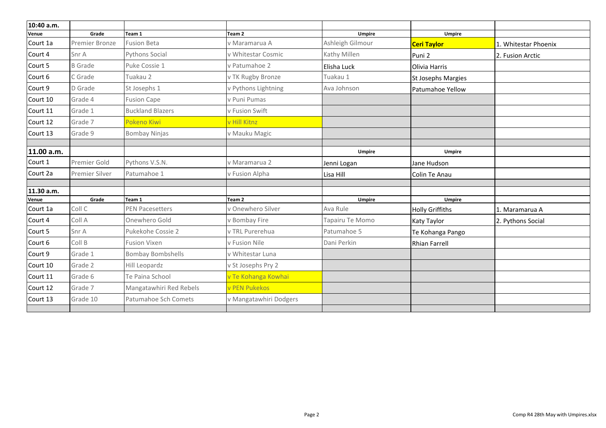| 10:40 a.m. |                |                          |                        |                  |                        |                      |
|------------|----------------|--------------------------|------------------------|------------------|------------------------|----------------------|
| Venue      | Grade          | Team 1                   | Team 2                 | Umpire           | <b>Umpire</b>          |                      |
| Court 1a   | Premier Bronze | <b>Fusion Beta</b>       | v Maramarua A          | Ashleigh Gilmour | <b>Ceri Taylor</b>     | 1. Whitestar Phoenix |
| Court 4    | Snr A          | Pythons Social           | v Whitestar Cosmic     | Kathy Millen     | Puni <sub>2</sub>      | 2. Fusion Arctic     |
| Court 5    | <b>B</b> Grade | Puke Cossie 1            | v Patumahoe 2          | Elisha Luck      | Olivia Harris          |                      |
| Court 6    | C Grade        | Tuakau 2                 | v TK Rugby Bronze      | Tuakau 1         | St Josephs Margies     |                      |
| Court 9    | D Grade        | St Josephs 1             | v Pythons Lightning    | Ava Johnson      | Patumahoe Yellow       |                      |
| Court 10   | Grade 4        | <b>Fusion Cape</b>       | v Puni Pumas           |                  |                        |                      |
| Court 11   | Grade 1        | <b>Buckland Blazers</b>  | v Fusion Swift         |                  |                        |                      |
| Court 12   | Grade 7        | Pokeno Kiwi              | v Hill Kitnz           |                  |                        |                      |
| Court 13   | Grade 9        | <b>Bombay Ninjas</b>     | v Mauku Magic          |                  |                        |                      |
|            |                |                          |                        |                  |                        |                      |
| 11.00 a.m. |                |                          |                        | <b>Umpire</b>    | <b>Umpire</b>          |                      |
| Court 1    | Premier Gold   | Pythons V.S.N.           | v Maramarua 2          | Jenni Logan      | Jane Hudson            |                      |
| Court 2a   | Premier Silver | Patumahoe 1              | v Fusion Alpha         | Lisa Hill        | Colin Te Anau          |                      |
|            |                |                          |                        |                  |                        |                      |
| 11.30 a.m. |                |                          |                        |                  |                        |                      |
| Venue      | Grade          | Team 1                   | Team 2                 | Umpire           | <b>Umpire</b>          |                      |
| Court 1a   | Coll C         | <b>PEN Pacesetters</b>   | v Onewhero Silver      | Ava Rule         | <b>Holly Griffiths</b> | 1. Maramarua A       |
| Court 4    | Coll A         | Onewhero Gold            | v Bombay Fire          | Tapairu Te Momo  | Katy Taylor            | 2. Pythons Social    |
| Court 5    | Snr A          | Pukekohe Cossie 2        | v TRL Purerehua        | Patumahoe 5      | Te Kohanga Pango       |                      |
| Court 6    | Coll B         | <b>Fusion Vixen</b>      | v Fusion Nile          | Dani Perkin      | <b>Rhian Farrell</b>   |                      |
| Court 9    | Grade 1        | <b>Bombay Bombshells</b> | v Whitestar Luna       |                  |                        |                      |
| Court 10   | Grade 2        | Hill Leopardz            | v St Josephs Pry 2     |                  |                        |                      |
| Court 11   | Grade 6        | Te Paina School          | v Te Kohanga Kowhai    |                  |                        |                      |
| Court 12   | Grade 7        | Mangatawhiri Red Rebels  | v PEN Pukekos          |                  |                        |                      |
| Court 13   | Grade 10       | Patumahoe Sch Comets     | v Mangatawhiri Dodgers |                  |                        |                      |
|            |                |                          |                        |                  |                        |                      |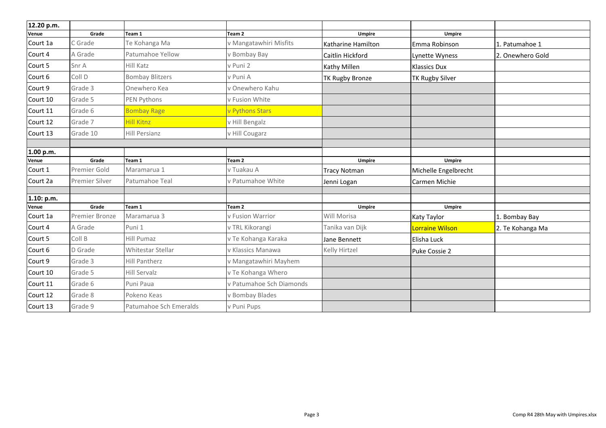| 12.20 p.m. |                |                        |                          |                     |                        |                  |
|------------|----------------|------------------------|--------------------------|---------------------|------------------------|------------------|
| Venue      | Grade          | Team 1                 | Team 2                   | <b>Umpire</b>       | <b>Umpire</b>          |                  |
| Court 1a   | C Grade        | Te Kohanga Ma          | v Mangatawhiri Misfits   | Katharine Hamilton  | Emma Robinson          | 1. Patumahoe 1   |
| Court 4    | A Grade        | Patumahoe Yellow       | v Bombay Bay             | Caitlin Hickford    | Lynette Wyness         | 2. Onewhero Gold |
| Court 5    | Snr A          | Hill Katz              | v Puni 2                 | <b>Kathy Millen</b> | <b>Klassics Dux</b>    |                  |
| Court 6    | Coll D         | <b>Bombay Blitzers</b> | v Puni A                 | TK Rugby Bronze     | <b>TK Rugby Silver</b> |                  |
| Court 9    | Grade 3        | Onewhero Kea           | v Onewhero Kahu          |                     |                        |                  |
| Court 10   | Grade 5        | PEN Pythons            | v Fusion White           |                     |                        |                  |
| Court 11   | Grade 6        | <b>Bombay Rage</b>     | v Pythons Stars          |                     |                        |                  |
| Court 12   | Grade 7        | <b>Hill Kitnz</b>      | v Hill Bengalz           |                     |                        |                  |
| Court 13   | Grade 10       | <b>Hill Persianz</b>   | v Hill Cougarz           |                     |                        |                  |
|            |                |                        |                          |                     |                        |                  |
| 1.00 p.m.  |                |                        |                          |                     |                        |                  |
| Venue      | Grade          | Team 1                 | Team 2                   | Umpire              | <b>Umpire</b>          |                  |
| Court 1    | Premier Gold   | Maramarua 1            | v Tuakau A               | <b>Tracy Notman</b> | Michelle Engelbrecht   |                  |
| Court 2a   | Premier Silver | Patumahoe Teal         | v Patumahoe White        | Jenni Logan         | Carmen Michie          |                  |
|            |                |                        |                          |                     |                        |                  |
| 1.10: p.m. |                |                        |                          |                     |                        |                  |
| Venue      | Grade          | Team 1                 | Team <sub>2</sub>        | Umpire              | <b>Umpire</b>          |                  |
| Court 1a   | Premier Bronze | Maramarua 3            | v Fusion Warrior         | Will Morisa         | <b>Katy Taylor</b>     | 1. Bombay Bay    |
| Court 4    | A Grade        | Puni 1                 | v TRL Kikorangi          | Tanika van Dijk     | <b>Lorraine Wilson</b> | 2. Te Kohanga Ma |
| Court 5    | Coll B         | Hill Pumaz             | v Te Kohanga Karaka      | Jane Bennett        | Elisha Luck            |                  |
| Court 6    | D Grade        | Whitestar Stellar      | v Klassics Manawa        | Kelly Hirtzel       | Puke Cossie 2          |                  |
| Court 9    | Grade 3        | <b>Hill Pantherz</b>   | v Mangatawhiri Mayhem    |                     |                        |                  |
| Court 10   | Grade 5        | <b>Hill Servalz</b>    | v Te Kohanga Whero       |                     |                        |                  |
| Court 11   | Grade 6        | Puni Paua              | v Patumahoe Sch Diamonds |                     |                        |                  |
| Court 12   | Grade 8        | Pokeno Keas            | v Bombay Blades          |                     |                        |                  |
| Court 13   | Grade 9        | Patumahoe Sch Emeralds | v Puni Pups              |                     |                        |                  |